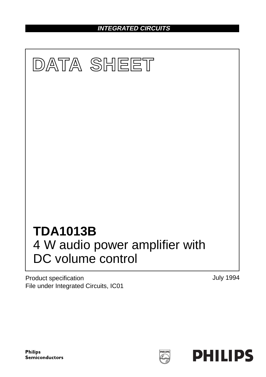**INTEGRATED CIRCUITS**



Product specification File under Integrated Circuits, IC01 July 1994



**HILIP**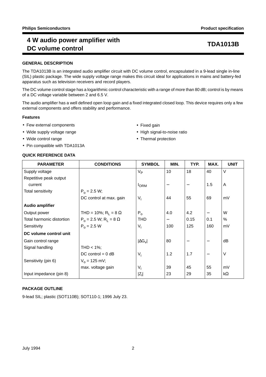# **4 W audio power amplifier with DC volume control TDA1013B**

## **GENERAL DESCRIPTION**

The TDA1013B is an integrated audio amplifier circuit with DC volume control, encapsulated in a 9-lead single in-line (SIL) plastic package. The wide supply voltage range makes this circuit ideal for applications in mains and battery-fed apparatus such as television receivers and record players.

The DC volume control stage has a logarithmic control characteristic with a range of more than 80 dB; control is by means of a DC voltage variable between 2 and 6.5 V.

The audio amplifier has a well defined open loop gain and a fixed integrated closed loop. This device requires only a few external components and offers stability and performance.

## **Features**

- Few external components
- Wide supply voltage range
- Wide control range
- Pin compatible with TDA1013A

## **QUICK REFERENCE DATA**

- Fixed gain
- High signal-to-noise ratio
- Thermal protection

| <b>PARAMETER</b>          | <b>CONDITIONS</b>                          | <b>SYMBOL</b>        | MIN. | TYP.            | MAX. | <b>UNIT</b> |
|---------------------------|--------------------------------------------|----------------------|------|-----------------|------|-------------|
| Supply voltage            |                                            | $V_{\mathsf{P}}$     | 10   | 18              | 40   | V           |
| Repetitive peak output    |                                            |                      |      |                 |      |             |
| current                   |                                            | <b>I</b> ORM         |      | $\qquad \qquad$ | 1.5  | A           |
| Total sensitivity         | $P_0 = 2.5 W;$                             |                      |      |                 |      |             |
|                           | DC control at max. gain                    | $V_i$                | 44   | 55              | 69   | mV          |
| <b>Audio amplifier</b>    |                                            |                      |      |                 |      |             |
| Output power              | THD = 10%; $R_1 = 8 \Omega$                | $P_0$                | 4.0  | 4.2             | —    | W           |
| Total harmonic distortion | $P_0 = 2.5$ W; R <sub>1</sub> = 8 $\Omega$ | <b>THD</b>           |      | 0.15            | 0.1  | $\%$        |
| Sensitivity               | $P_0 = 2.5 W$                              | $V_i$                | 100  | 125             | 160  | mV          |
| DC volume control unit    |                                            |                      |      |                 |      |             |
| Gain control range        |                                            | $ \Delta G_{\rm V} $ | 80   |                 | —    | dB          |
| Signal handling           | THD $<$ 1%;                                |                      |      |                 |      |             |
|                           | $DC$ control = 0 dB                        | $V_i$                | 1.2  | 1.7             | —    | V           |
| Sensitivity (pin 6)       | $V_0 = 125$ mV;                            |                      |      |                 |      |             |
|                           | max. voltage gain                          | $V_i$                | 39   | 45              | 55   | mV          |
| Input impedance (pin 8)   |                                            | $ Z_i $              | 23   | 29              | 35   | $k\Omega$   |

## **PACKAGE OUTLINE**

9-lead SIL; plastic (SOT110B); SOT110-1; 1996 July 23.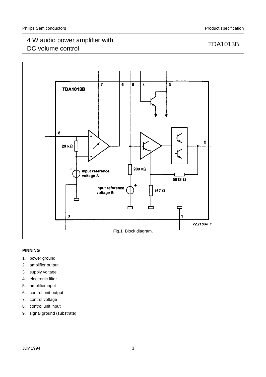# 4 W audio power amplifier with 4 W audio power amplifier with the state of the control to the TDA1013B TDA1013B



## **PINNING**

- 1. power ground
- 2. amplifier output
- 3. supply voltage
- 4. electronic filter
- 5. amplifier input
- 6. control unit output
- 7. control voltage
- 8. control unit input
- 9. signal ground (substrate)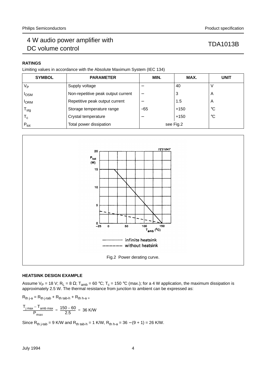## **RATINGS**

Limiting values in accordance with the Absolute Maximum System (IEC 134)

| <b>SYMBOL</b>             | <b>PARAMETER</b>                   | MIN.                     | MAX.   | <b>UNIT</b> |
|---------------------------|------------------------------------|--------------------------|--------|-------------|
| $V_{\mathsf{P}}$          | Supply voltage                     |                          | 40     |             |
| <b>I</b> OSM              | Non-repetitive peak output current | $\overline{\phantom{0}}$ | 3      | A           |
| <b>I</b> ORM              | Repetitive peak output current     |                          | 1.5    | A           |
| $\mathsf{T}_{\text{stg}}$ | Storage temperature range          | $-55$                    | $+150$ | $^{\circ}C$ |
| $\mathsf{T}_{\mathsf{c}}$ | Crystal temperature                | –                        | $+150$ | $^{\circ}C$ |
| $P_{\text{tot}}$          | Total power dissipation            | see Fig.2                |        |             |



## **HEATSINK DESIGN EXAMPLE**

Assume V<sub>P</sub> = 18 V; R<sub>L</sub> = 8 Ω; T<sub>amb</sub> = 60 °C; T<sub>c</sub> = 150 °C (max.); for a 4 W application, the maximum dissipation is approximately 2.5 W. The thermal resistance from junction to ambient can be expressed as:

 $R_{th\ j-a} = R_{th\ j-tab} + R_{th\ tab-h} + R_{th\ h-a}$ 

$$
\frac{T_{j \text{ max}} - T_{\text{amb max}}}{P_{\text{max}}} = \frac{150 - 60}{2.5} = 36 \text{ K/W}
$$

Since  $R_{th\ j\text{-}tab} = 9$  K/W and  $R_{th\ tab-h} = 1$  K/W,  $R_{th\ h\text{-}a} = 36 - (9 + 1) = 26$  K/W.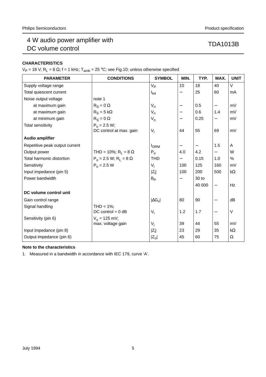# 4 W audio power amplifier with 4 W audio power amplifier with the state of the control to the TDA1013B TDA1013B

## **CHARACTERISTICS**

 $V_P$  = 18 V; R<sub>L</sub> = 8 Ω; f = 1 kHz; T<sub>amb</sub> = 25 °C; see Fig.10; unless otherwise specified

| <b>PARAMETER</b>               | <b>CONDITIONS</b>                         | <b>SYMBOL</b>        | MIN.                     | TYP.                     | MAX.                     | <b>UNIT</b> |
|--------------------------------|-------------------------------------------|----------------------|--------------------------|--------------------------|--------------------------|-------------|
| Supply voltage range           |                                           | V <sub>P</sub>       | 10                       | 18                       | 40                       | V           |
| Total quiescent current        |                                           | $I_{\text{tot}}$     | $\qquad \qquad -$        | 25                       | 60                       | mA          |
| Noise output voltage           | note 1                                    |                      |                          |                          |                          |             |
| at maximum gain                | $R_S = 0 \Omega$                          | $V_{n}$              | $\overline{\phantom{0}}$ | 0.5                      | $\qquad \qquad -$        | mV          |
| at maximum gain                | $R_S = 5 k\Omega$                         | $V_{n}$              | —                        | 0.6                      | 1.4                      | mV          |
| at minimum gain                | $R_S = 0 \Omega$                          | $V_{n}$              | —                        | 0.25                     | —                        | mV          |
| <b>Total sensitivity</b>       | $P_0 = 2.5 W;$<br>DC control at max. gain | $V_i$                | 44                       | 55                       | 69                       | mV          |
| <b>Audio amplifier</b>         |                                           |                      |                          |                          |                          |             |
| Repetitive peak output current |                                           | $I_{\text{ORM}}$     | $\qquad \qquad -$        | $\overline{\phantom{0}}$ | 1.5                      | A           |
| Output power                   | THD = 10%; $R_1 = 8 \Omega$               | $P_{o}$              | 4.0                      | 4.2                      | $\qquad \qquad -$        | W           |
| Total harmonic distortion      | $P_0 = 2.5 W$ ; $R_L = 8 \Omega$          | <b>THD</b>           | $\overline{\phantom{0}}$ | 0.15                     | 1.0                      | %           |
| Sensitivity                    | $P_0 = 2.5 W$                             | $V_i$                | 100                      | 125                      | 160                      | mV          |
| Input impedance (pin 5)        |                                           | $ Z_i $              | 100                      | 200                      | 500                      | $k\Omega$   |
| Power bandwidth                |                                           | $B_{\mathsf{P}}$     |                          | 30 <sub>to</sub>         |                          |             |
|                                |                                           |                      |                          | 40 000                   | $\qquad \qquad -$        | Hz          |
| DC volume control unit         |                                           |                      |                          |                          |                          |             |
| Gain control range             |                                           | $ \Delta G_{\rm V} $ | 80                       | 90                       | $\overline{\phantom{m}}$ | dB          |
| Signal handling                | THD < $1\%$ ;                             |                      |                          |                          |                          |             |
|                                | $DC$ control = $0$ dB                     | $V_i$                | 1.2                      | 1.7                      | $\overline{\phantom{0}}$ | V           |
| Sensitivity (pin 6)            | $V_0 = 125$ mV;                           |                      |                          |                          |                          |             |
|                                | max. voltage gain                         | $V_i$                | 39                       | 44                       | 55                       | mV          |
| Input impedance (pin 8)        |                                           | $ Z_i $              | 23                       | 29                       | 35                       | $k\Omega$   |
| Output impedance (pin 6)       |                                           | $ Z_{o} $            | 45                       | 60                       | 75                       | Ω           |

## **Note to the characteristics**

1. Measured in a bandwidth in accordance with IEC 179, curve 'A'.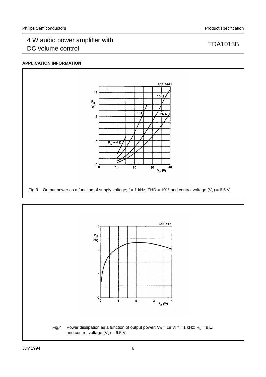## **APPLICATION INFORMATION**



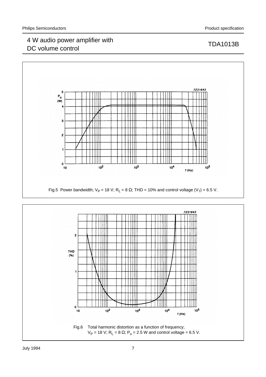# 4 W audio power amplifier with 4 W audio power amplifier with<br>DC volume control DC volume control





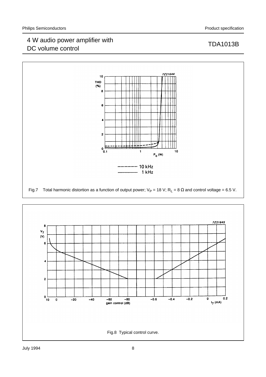# 4 W audio power amplifier with 4 W audio power amplifier with<br>DC volume control DC volume control



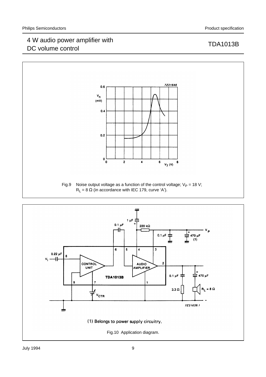# 4 W audio power amplifier with 4 W audio power amplifier with the control text of the TDA1013B DC volume control



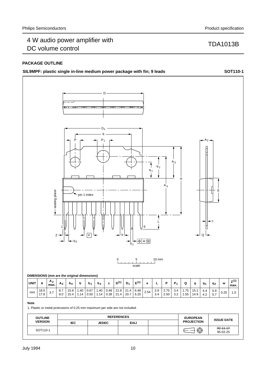## **PACKAGE OUTLINE**



 $95-02-25$